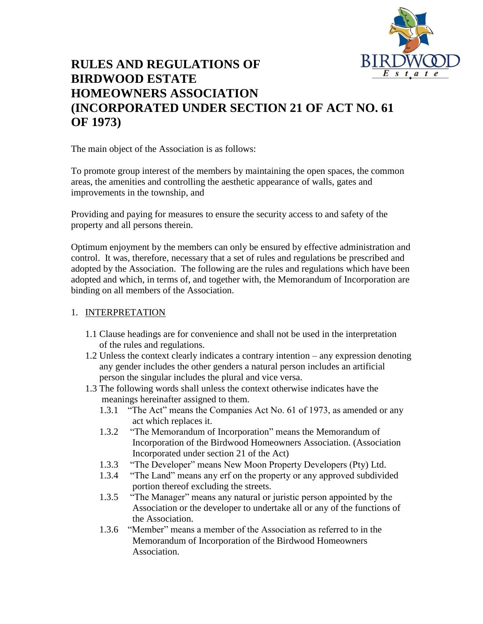

# **RULES AND REGULATIONS OF BIRDWOOD ESTATE HOMEOWNERS ASSOCIATION (INCORPORATED UNDER SECTION 21 OF ACT NO. 61 OF 1973)**

The main object of the Association is as follows:

To promote group interest of the members by maintaining the open spaces, the common areas, the amenities and controlling the aesthetic appearance of walls, gates and improvements in the township, and

Providing and paying for measures to ensure the security access to and safety of the property and all persons therein.

Optimum enjoyment by the members can only be ensured by effective administration and control. It was, therefore, necessary that a set of rules and regulations be prescribed and adopted by the Association. The following are the rules and regulations which have been adopted and which, in terms of, and together with, the Memorandum of Incorporation are binding on all members of the Association.

# 1. INTERPRETATION

- 1.1 Clause headings are for convenience and shall not be used in the interpretation of the rules and regulations.
- 1.2 Unless the context clearly indicates a contrary intention any expression denoting any gender includes the other genders a natural person includes an artificial person the singular includes the plural and vice versa.
- 1.3 The following words shall unless the context otherwise indicates have the meanings hereinafter assigned to them.
	- 1.3.1 "The Act" means the Companies Act No. 61 of 1973, as amended or any act which replaces it.
	- 1.3.2 "The Memorandum of Incorporation" means the Memorandum of Incorporation of the Birdwood Homeowners Association. (Association Incorporated under section 21 of the Act)
	- 1.3.3 "The Developer" means New Moon Property Developers (Pty) Ltd.
	- 1.3.4 "The Land" means any erf on the property or any approved subdivided portion thereof excluding the streets.
	- 1.3.5 "The Manager" means any natural or juristic person appointed by the Association or the developer to undertake all or any of the functions of the Association.
	- 1.3.6 "Member" means a member of the Association as referred to in the Memorandum of Incorporation of the Birdwood Homeowners Association.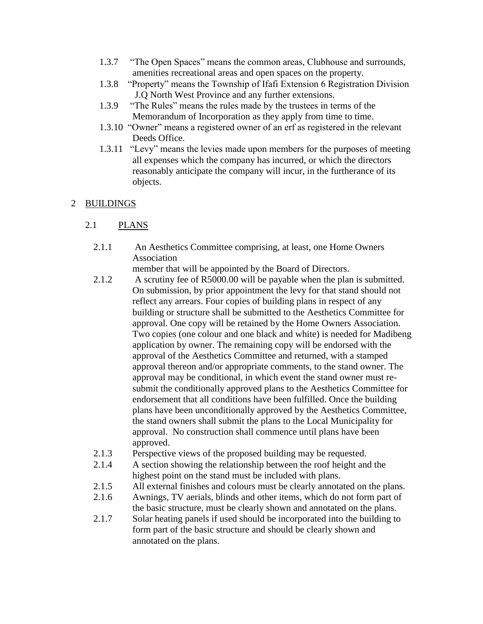- 1.3.7 "The Open Spaces" means the common areas, Clubhouse and surrounds, amenities recreational areas and open spaces on the property.
- 1.3.8 "Property" means the Township of Ifafi Extension 6 Registration Division J.Q North West Province and any further extensions.
- 1.3.9 "The Rules" means the rules made by the trustees in terms of the Memorandum of Incorporation as they apply from time to time.
- 1.3.10 "Owner" means a registered owner of an erf as registered in the relevant Deeds Office.
- 1.3.11 "Levy" means the levies made upon members for the purposes of meeting all expenses which the company has incurred, or which the directors reasonably anticipate the company will incur, in the furtherance of its objects.

#### 2 BUILDINGS

# 2.1 PLANS

2.1.1 An Aesthetics Committee comprising, at least, one Home Owners Association

member that will be appointed by the Board of Directors.

- 2.1.2 A scrutiny fee of R5000.00 will be payable when the plan is submitted. On submission, by prior appointment the levy for that stand should not reflect any arrears. Four copies of building plans in respect of any building or structure shall be submitted to the Aesthetics Committee for approval. One copy will be retained by the Home Owners Association. Two copies (one colour and one black and white) is needed for Madibeng application by owner. The remaining copy will be endorsed with the approval of the Aesthetics Committee and returned, with a stamped approval thereon and/or appropriate comments, to the stand owner. The approval may be conditional, in which event the stand owner must resubmit the conditionally approved plans to the Aesthetics Committee for endorsement that all conditions have been fulfilled. Once the building plans have been unconditionally approved by the Aesthetics Committee, the stand owners shall submit the plans to the Local Municipality for approval. No construction shall commence until plans have been approved.
- 2.1.3 Perspective views of the proposed building may be requested.
- 2.1.4 A section showing the relationship between the roof height and the highest point on the stand must be included with plans.
- 2.1.5 All external finishes and colours must be clearly annotated on the plans.
- 2.1.6 Awnings, TV aerials, blinds and other items, which do not form part of the basic structure, must be clearly shown and annotated on the plans.
- 2.1.7 Solar heating panels if used should be incorporated into the building to form part of the basic structure and should be clearly shown and annotated on the plans.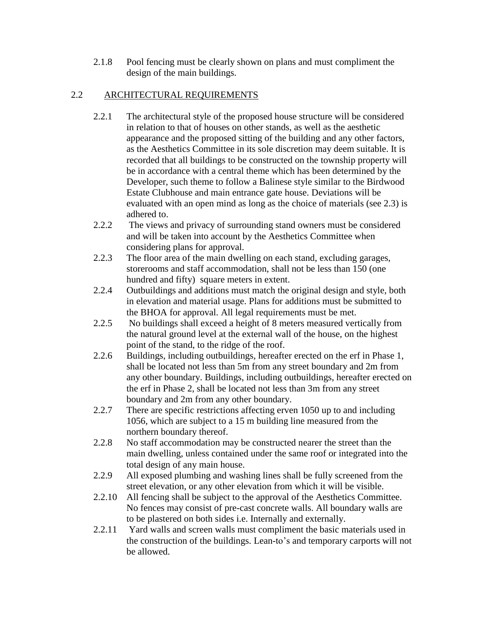2.1.8 Pool fencing must be clearly shown on plans and must compliment the design of the main buildings.

# 2.2 ARCHITECTURAL REQUIREMENTS

- 2.2.1 The architectural style of the proposed house structure will be considered in relation to that of houses on other stands, as well as the aesthetic appearance and the proposed sitting of the building and any other factors, as the Aesthetics Committee in its sole discretion may deem suitable. It is recorded that all buildings to be constructed on the township property will be in accordance with a central theme which has been determined by the Developer, such theme to follow a Balinese style similar to the Birdwood Estate Clubhouse and main entrance gate house. Deviations will be evaluated with an open mind as long as the choice of materials (see 2.3) is adhered to.
- 2.2.2 The views and privacy of surrounding stand owners must be considered and will be taken into account by the Aesthetics Committee when considering plans for approval.
- 2.2.3 The floor area of the main dwelling on each stand, excluding garages, storerooms and staff accommodation, shall not be less than 150 (one hundred and fifty) square meters in extent.
- 2.2.4 Outbuildings and additions must match the original design and style, both in elevation and material usage. Plans for additions must be submitted to the BHOA for approval. All legal requirements must be met.
- 2.2.5 No buildings shall exceed a height of 8 meters measured vertically from the natural ground level at the external wall of the house, on the highest point of the stand, to the ridge of the roof.
- 2.2.6 Buildings, including outbuildings, hereafter erected on the erf in Phase 1, shall be located not less than 5m from any street boundary and 2m from any other boundary. Buildings, including outbuildings, hereafter erected on the erf in Phase 2, shall be located not less than 3m from any street boundary and 2m from any other boundary.
- 2.2.7 There are specific restrictions affecting erven 1050 up to and including 1056, which are subject to a 15 m building line measured from the northern boundary thereof.
- 2.2.8 No staff accommodation may be constructed nearer the street than the main dwelling, unless contained under the same roof or integrated into the total design of any main house.
- 2.2.9 All exposed plumbing and washing lines shall be fully screened from the street elevation, or any other elevation from which it will be visible.
- 2.2.10 All fencing shall be subject to the approval of the Aesthetics Committee. No fences may consist of pre-cast concrete walls. All boundary walls are to be plastered on both sides i.e. Internally and externally.
- 2.2.11 Yard walls and screen walls must compliment the basic materials used in the construction of the buildings. Lean-to's and temporary carports will not be allowed.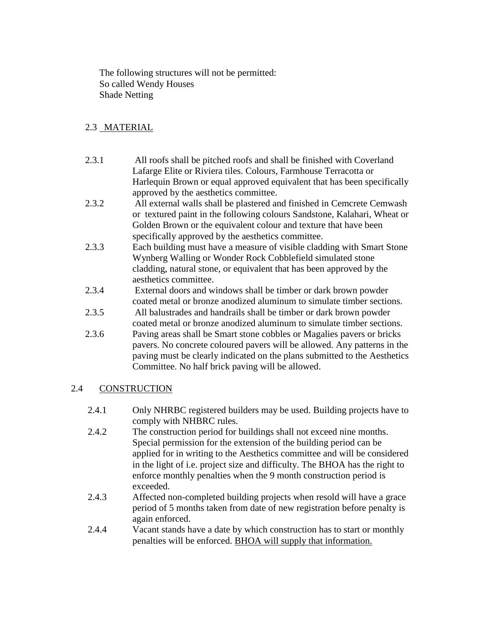The following structures will not be permitted: So called Wendy Houses Shade Netting

# 2.3 MATERIAL

- 2.3.1 All roofs shall be pitched roofs and shall be finished with Coverland Lafarge Elite or Riviera tiles. Colours, Farmhouse Terracotta or Harlequin Brown or equal approved equivalent that has been specifically approved by the aesthetics committee.
- 2.3.2 All external walls shall be plastered and finished in Cemcrete Cemwash or textured paint in the following colours Sandstone, Kalahari, Wheat or Golden Brown or the equivalent colour and texture that have been specifically approved by the aesthetics committee.
- 2.3.3 Each building must have a measure of visible cladding with Smart Stone Wynberg Walling or Wonder Rock Cobblefield simulated stone cladding, natural stone, or equivalent that has been approved by the aesthetics committee.
- 2.3.4 External doors and windows shall be timber or dark brown powder coated metal or bronze anodized aluminum to simulate timber sections.
- 2.3.5 All balustrades and handrails shall be timber or dark brown powder coated metal or bronze anodized aluminum to simulate timber sections.
- 2.3.6 Paving areas shall be Smart stone cobbles or Magalies pavers or bricks pavers. No concrete coloured pavers will be allowed. Any patterns in the paving must be clearly indicated on the plans submitted to the Aesthetics Committee. No half brick paving will be allowed.

# 2.4 CONSTRUCTION

- 2.4.1 Only NHRBC registered builders may be used. Building projects have to comply with NHBRC rules.
- 2.4.2 The construction period for buildings shall not exceed nine months. Special permission for the extension of the building period can be applied for in writing to the Aesthetics committee and will be considered in the light of i.e. project size and difficulty. The BHOA has the right to enforce monthly penalties when the 9 month construction period is exceeded.
- 2.4.3 Affected non-completed building projects when resold will have a grace period of 5 months taken from date of new registration before penalty is again enforced.
- 2.4.4 Vacant stands have a date by which construction has to start or monthly penalties will be enforced. BHOA will supply that information.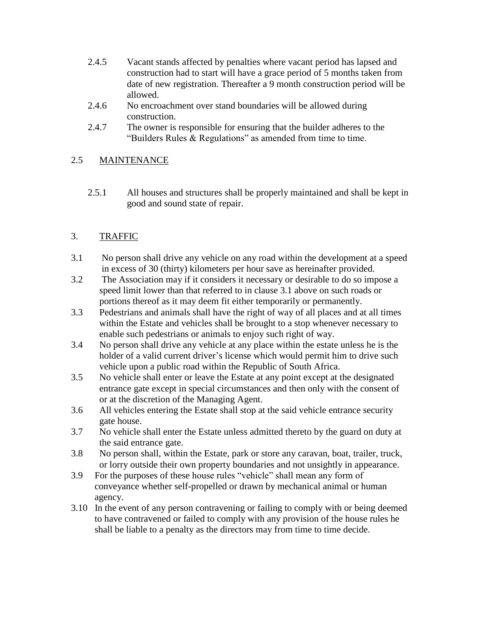- 2.4.5 Vacant stands affected by penalties where vacant period has lapsed and construction had to start will have a grace period of 5 months taken from date of new registration. Thereafter a 9 month construction period will be allowed.
- 2.4.6 No encroachment over stand boundaries will be allowed during construction.
- 2.4.7 The owner is responsible for ensuring that the builder adheres to the "Builders Rules & Regulations" as amended from time to time.

# 2.5 MAINTENANCE

2.5.1 All houses and structures shall be properly maintained and shall be kept in good and sound state of repair.

# 3. TRAFFIC

- 3.1 No person shall drive any vehicle on any road within the development at a speed in excess of 30 (thirty) kilometers per hour save as hereinafter provided.
- 3.2 The Association may if it considers it necessary or desirable to do so impose a speed limit lower than that referred to in clause 3.1 above on such roads or portions thereof as it may deem fit either temporarily or permanently.
- 3.3 Pedestrians and animals shall have the right of way of all places and at all times within the Estate and vehicles shall be brought to a stop whenever necessary to enable such pedestrians or animals to enjoy such right of way.
- 3.4 No person shall drive any vehicle at any place within the estate unless he is the holder of a valid current driver's license which would permit him to drive such vehicle upon a public road within the Republic of South Africa.
- 3.5 No vehicle shall enter or leave the Estate at any point except at the designated entrance gate except in special circumstances and then only with the consent of or at the discretion of the Managing Agent.
- 3.6 All vehicles entering the Estate shall stop at the said vehicle entrance security gate house.
- 3.7 No vehicle shall enter the Estate unless admitted thereto by the guard on duty at the said entrance gate.
- 3.8 No person shall, within the Estate, park or store any caravan, boat, trailer, truck, or lorry outside their own property boundaries and not unsightly in appearance.
- 3.9 For the purposes of these house rules "vehicle" shall mean any form of conveyance whether self-propelled or drawn by mechanical animal or human agency.
- 3.10 In the event of any person contravening or failing to comply with or being deemed to have contravened or failed to comply with any provision of the house rules he shall be liable to a penalty as the directors may from time to time decide.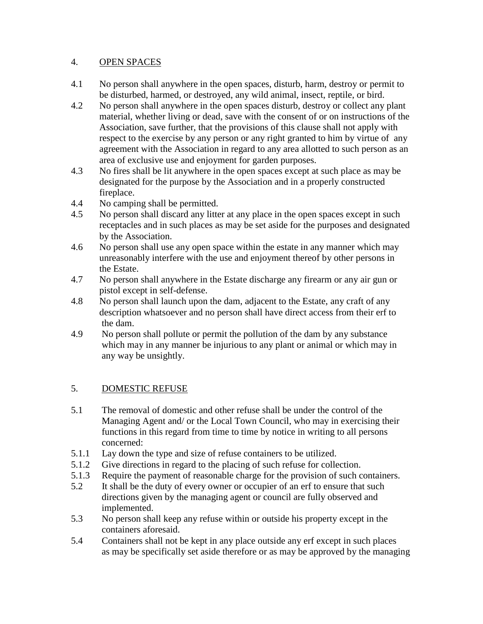#### 4. OPEN SPACES

- 4.1 No person shall anywhere in the open spaces, disturb, harm, destroy or permit to be disturbed, harmed, or destroyed, any wild animal, insect, reptile, or bird.
- 4.2 No person shall anywhere in the open spaces disturb, destroy or collect any plant material, whether living or dead, save with the consent of or on instructions of the Association, save further, that the provisions of this clause shall not apply with respect to the exercise by any person or any right granted to him by virtue of any agreement with the Association in regard to any area allotted to such person as an area of exclusive use and enjoyment for garden purposes.
- 4.3 No fires shall be lit anywhere in the open spaces except at such place as may be designated for the purpose by the Association and in a properly constructed fireplace.
- 4.4 No camping shall be permitted.
- 4.5 No person shall discard any litter at any place in the open spaces except in such receptacles and in such places as may be set aside for the purposes and designated by the Association.
- 4.6 No person shall use any open space within the estate in any manner which may unreasonably interfere with the use and enjoyment thereof by other persons in the Estate.
- 4.7 No person shall anywhere in the Estate discharge any firearm or any air gun or pistol except in self-defense.
- 4.8 No person shall launch upon the dam, adjacent to the Estate, any craft of any description whatsoever and no person shall have direct access from their erf to the dam.
- 4.9 No person shall pollute or permit the pollution of the dam by any substance which may in any manner be injurious to any plant or animal or which may in any way be unsightly.

# 5. DOMESTIC REFUSE

- 5.1 The removal of domestic and other refuse shall be under the control of the Managing Agent and/ or the Local Town Council, who may in exercising their functions in this regard from time to time by notice in writing to all persons concerned:
- 5.1.1 Lay down the type and size of refuse containers to be utilized.
- 5.1.2 Give directions in regard to the placing of such refuse for collection.
- 5.1.3 Require the payment of reasonable charge for the provision of such containers.
- 5.2 It shall be the duty of every owner or occupier of an erf to ensure that such directions given by the managing agent or council are fully observed and implemented.
- 5.3 No person shall keep any refuse within or outside his property except in the containers aforesaid.
- 5.4 Containers shall not be kept in any place outside any erf except in such places as may be specifically set aside therefore or as may be approved by the managing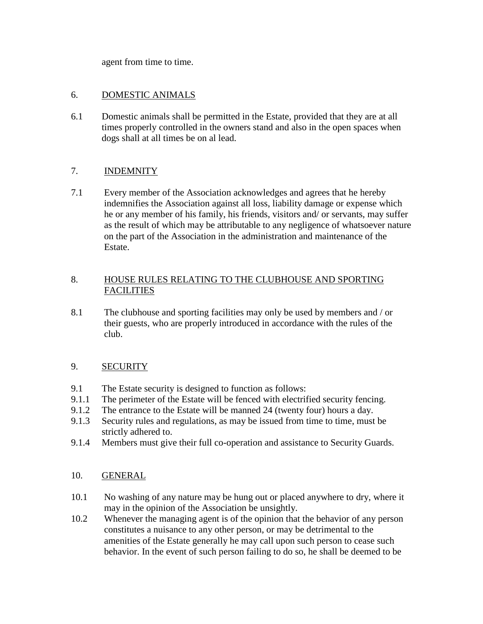agent from time to time.

#### 6. DOMESTIC ANIMALS

6.1 Domestic animals shall be permitted in the Estate, provided that they are at all times properly controlled in the owners stand and also in the open spaces when dogs shall at all times be on al lead.

# 7. INDEMNITY

7.1 Every member of the Association acknowledges and agrees that he hereby indemnifies the Association against all loss, liability damage or expense which he or any member of his family, his friends, visitors and/ or servants, may suffer as the result of which may be attributable to any negligence of whatsoever nature on the part of the Association in the administration and maintenance of the Estate.

# 8. HOUSE RULES RELATING TO THE CLUBHOUSE AND SPORTING **FACILITIES**

8.1 The clubhouse and sporting facilities may only be used by members and / or their guests, who are properly introduced in accordance with the rules of the club.

# 9. SECURITY

- 9.1 The Estate security is designed to function as follows:
- 9.1.1 The perimeter of the Estate will be fenced with electrified security fencing.
- 9.1.2 The entrance to the Estate will be manned 24 (twenty four) hours a day.
- 9.1.3 Security rules and regulations, as may be issued from time to time, must be strictly adhered to.
- 9.1.4 Members must give their full co-operation and assistance to Security Guards.
- 10. GENERAL
- 10.1 No washing of any nature may be hung out or placed anywhere to dry, where it may in the opinion of the Association be unsightly.
- 10.2 Whenever the managing agent is of the opinion that the behavior of any person constitutes a nuisance to any other person, or may be detrimental to the amenities of the Estate generally he may call upon such person to cease such behavior. In the event of such person failing to do so, he shall be deemed to be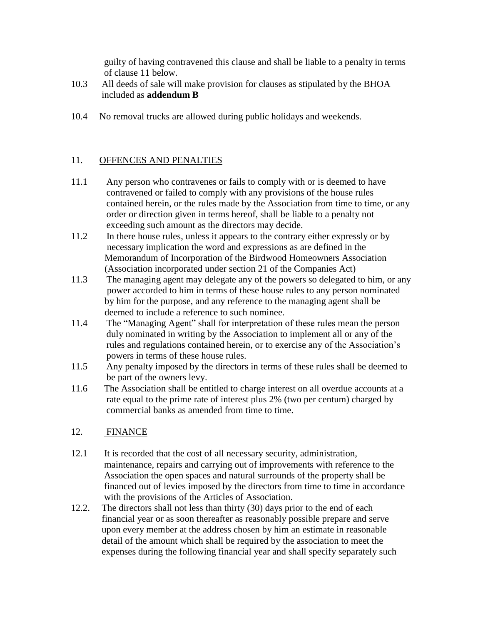guilty of having contravened this clause and shall be liable to a penalty in terms of clause 11 below.

- 10.3 All deeds of sale will make provision for clauses as stipulated by the BHOA included as **addendum B**
- 10.4 No removal trucks are allowed during public holidays and weekends.

# 11. OFFENCES AND PENALTIES

- 11.1 Any person who contravenes or fails to comply with or is deemed to have contravened or failed to comply with any provisions of the house rules contained herein, or the rules made by the Association from time to time, or any order or direction given in terms hereof, shall be liable to a penalty not exceeding such amount as the directors may decide.
- 11.2 In there house rules, unless it appears to the contrary either expressly or by necessary implication the word and expressions as are defined in the Memorandum of Incorporation of the Birdwood Homeowners Association (Association incorporated under section 21 of the Companies Act)
- 11.3 The managing agent may delegate any of the powers so delegated to him, or any power accorded to him in terms of these house rules to any person nominated by him for the purpose, and any reference to the managing agent shall be deemed to include a reference to such nominee.
- 11.4 The "Managing Agent" shall for interpretation of these rules mean the person duly nominated in writing by the Association to implement all or any of the rules and regulations contained herein, or to exercise any of the Association's powers in terms of these house rules.
- 11.5 Any penalty imposed by the directors in terms of these rules shall be deemed to be part of the owners levy.
- 11.6 The Association shall be entitled to charge interest on all overdue accounts at a rate equal to the prime rate of interest plus 2% (two per centum) charged by commercial banks as amended from time to time.
- 12. FINANCE
- 12.1 It is recorded that the cost of all necessary security, administration, maintenance, repairs and carrying out of improvements with reference to the Association the open spaces and natural surrounds of the property shall be financed out of levies imposed by the directors from time to time in accordance with the provisions of the Articles of Association.
- 12.2. The directors shall not less than thirty (30) days prior to the end of each financial year or as soon thereafter as reasonably possible prepare and serve upon every member at the address chosen by him an estimate in reasonable detail of the amount which shall be required by the association to meet the expenses during the following financial year and shall specify separately such